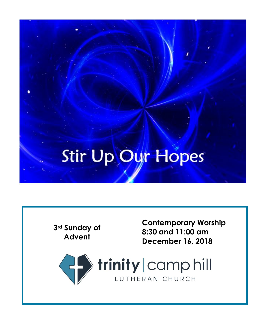# Stir Up Our Hopes

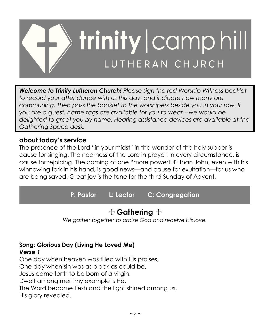

*Welcome to Trinity Lutheran Church! Please sign the red Worship Witness booklet to record your attendance with us this day, and indicate how many are communing. Then pass the booklet to the worshipers beside you in your row. If you are a guest, name tags are available for you to wear---we would be delighted to greet you by name. Hearing assistance devices are available at the Gathering Space desk.*

#### **about today's service**

The presence of the Lord "in your midst" in the wonder of the holy supper is cause for singing. The nearness of the Lord in prayer, in every circumstance, is cause for rejoicing. The coming of one "more powerful" than John, even with his winnowing fork in his hand, is good news—and cause for exultation—for us who are being saved. Great joy is the tone for the third Sunday of Advent.

**P: Pastor L: Lector C: Congregation**

# + **Gathering** +

*We gather together to praise God and receive His love.*

#### **Song: Glorious Day (Living He Loved Me)** *Verse 1*

One day when heaven was filled with His praises, One day when sin was as black as could be, Jesus came forth to be born of a virgin, Dwelt among men my example is He. The Word became flesh and the light shined among us, His glory revealed.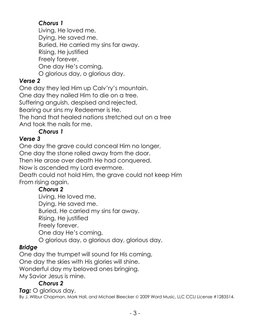# *Chorus 1*

Living, He loved me, Dying, He saved me. Buried, He carried my sins far away. Rising, He justified Freely forever. One day He's coming, O glorious day, o glorious day.

# *Verse 2*

One day they led Him up Calv'ry's mountain.

One day they nailed Him to die on a tree.

Suffering anguish, despised and rejected,

Bearing our sins my Redeemer is He.

The hand that healed nations stretched out on a tree And took the nails for me.

# *Chorus 1*

# *Verse 3*

One day the grave could conceal Him no longer,

One day the stone rolled away from the door.

Then He arose over death He had conquered.

Now is ascended my Lord evermore.

Death could not hold Him, the grave could not keep Him From rising again.

# *Chorus 2*

Living, He loved me, Dying, He saved me. Buried, He carried my sins far away. Rising, He justified Freely forever. One day He's coming, O glorious day, o glorious day, glorious day.

# *Bridge*

One day the trumpet will sound for His coming,

One day the skies with His glories will shine.

Wonderful day my beloved ones bringing.

My Savior Jesus is mine.

# *Chorus 2*

*Tag:* O glorious day.

By J. Wilbur Chapman, Mark Hall, and Michael Bleecker © 2009 Word Music, LLC CCLI License #1283514.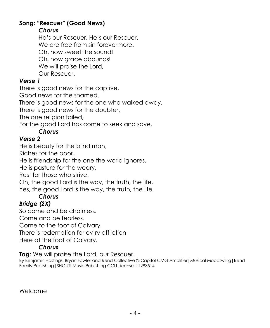# **Song: "Rescuer" (Good News)**

#### *Chorus*

He's our Rescuer, He's our Rescuer. We are free from sin forevermore. Oh, how sweet the sound! Oh, how grace abounds! We will praise the Lord, Our Rescuer.

#### *Verse 1*

There is good news for the captive,

Good news for the shamed.

There is good news for the one who walked away.

There is good news for the doubter,

The one religion failed,

For the good Lord has come to seek and save.

# *Chorus*

# *Verse 2*

He is beauty for the blind man,

Riches for the poor.

He is friendship for the one the world ignores.

He is pasture for the weary,

Rest for those who strive.

Oh, the good Lord is the way, the truth, the life.

Yes, the good Lord is the way, the truth, the life.

# *Chorus*

# *Bridge (2X)*

So come and be chainless.

Come and be fearless.

Come to the foot of Calvary.

There is redemption for ev'ry affliction

Here at the foot of Calvary.

# *Chorus*

*Tag:* We will praise the Lord, our Rescuer.

By Benjamin Hastings, Bryan Fowler and Rend Collective © Capitol CMG Amplifier | Musical Moodswing | Rend Family Publishing|SHOUT! Music Publishing CCLI License #1283514.

Welcome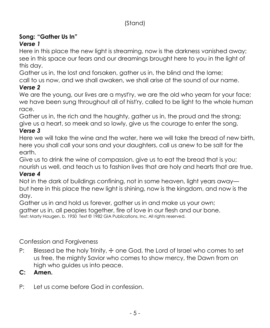# (Stand)

# **Song: "Gather Us In"**

# *Verse 1*

Here in this place the new light is streaming, now is the darkness vanished away; see in this space our fears and our dreamings brought here to you in the light of this day.

Gather us in, the lost and forsaken, gather us in, the blind and the lame;

call to us now, and we shall awaken, we shall arise at the sound of our name.

# *Verse 2*

We are the young, our lives are a myst'ry, we are the old who yearn for your face; we have been sung throughout all of hist'ry, called to be light to the whole human race.

Gather us in, the rich and the haughty, gather us in, the proud and the strong; give us a heart, so meek and so lowly, give us the courage to enter the song.

# *Verse 3*

Here we will take the wine and the water, here we will take the bread of new birth, here you shall call your sons and your daughters, call us anew to be salt for the earth.

Give us to drink the wine of compassion, give us to eat the bread that is you; nourish us well, and teach us to fashion lives that are holy and hearts that are true.

# *Verse 4*

Not in the dark of buildings confining, not in some heaven, light years away but here in this place the new light is shining, now is the kingdom, and now is the day.

Gather us in and hold us forever, gather us in and make us your own;

gather us in, all peoples together, fire of love in our flesh and our bone.

Text: Marty Haugen, b. 1950 Text © 1982 GIA Publications, Inc. All rights reserved.

# Confession and Forgiveness

P: Blessed be the holy Trinity,  $\pm$  one God, the Lord of Israel who comes to set us free, the mighty Savior who comes to show mercy, the Dawn from on high who guides us into peace.

#### **C: Amen.**

P: Let us come before God in confession.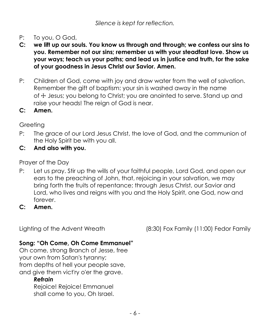- P: To you, O God,
- **C: we lift up our souls. You know us through and through; we confess our sins to you. Remember not our sins; remember us with your steadfast love. Show us your ways; teach us your paths; and lead us in justice and truth, for the sake of your goodness in Jesus Christ our Savior. Amen.**
- P: Children of God, come with joy and draw water from the well of salvation. Remember the gift of baptism: your sin is washed away in the name of  $\pm$  Jesus; you belong to Christ; you are anointed to serve. Stand up and raise your heads! The reign of God is near.
- **C: Amen.**

#### Greeting

- P: The grace of our Lord Jesus Christ, the love of God, and the communion of the Holy Spirit be with you all.
- **C: And also with you.**

Prayer of the Day

- P: Let us pray. Stir up the wills of your faithful people, Lord God, and open our ears to the preaching of John, that, rejoicing in your salvation, we may bring forth the fruits of repentance; through Jesus Christ, our Savior and Lord, who lives and reigns with you and the Holy Spirit, one God, now and forever.
- **C: Amen.**

Lighting of the Advent Wreath (8:30) Fox Family (11:00) Fedor Family

#### **Song: "Oh Come, Oh Come Emmanuel"**

Oh come, strong Branch of Jesse, free your own from Satan's tyranny; from depths of hell your people save, and give them vict'ry o'er the grave.

#### *Refrain*

Rejoice! Rejoice! Emmanuel shall come to you, Oh Israel.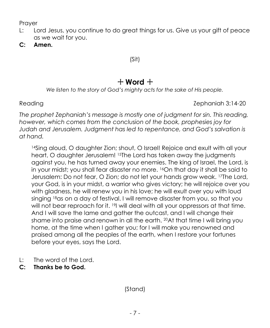**Prayer** 

- L: Lord Jesus, you continue to do great things for us. Give us your gift of peace as we wait for you.
- **C: Amen.**

#### (Sit)

# $+$  Word  $+$

*We listen to the story of God's mighty acts for the sake of His people.*

Reading **Zephaniah 3:14-20** 

*The prophet Zephaniah's message is mostly one of judgment for sin. This reading, however, which comes from the conclusion of the book, prophesies joy for Judah and Jerusalem. Judgment has led to repentance, and God's salvation is at hand.*

<sup>14</sup>Sing aloud, O daughter Zion; shout, O Israel! Rejoice and exult with all your heart, O daughter Jerusalem! 15The Lord has taken away the judgments against you, he has turned away your enemies. The king of Israel, the Lord, is in your midst; you shall fear disaster no more. 16On that day it shall be said to Jerusalem: Do not fear, O Zion; do not let your hands grow weak. 17The Lord, your God, is in your midst, a warrior who gives victory; he will rejoice over you with gladness, he will renew you in his love; he will exult over you with loud singing 18as on a day of festival. I will remove disaster from you, so that you will not bear reproach for it. <sup>19</sup>I will deal with all your oppressors at that time. And I will save the lame and gather the outcast, and I will change their shame into praise and renown in all the earth. 20At that time I will bring you home, at the time when I gather you; for I will make you renowned and praised among all the peoples of the earth, when I restore your fortunes before your eyes, says the Lord.

- L: The word of the Lord.
- **C: Thanks be to God.**

(Stand)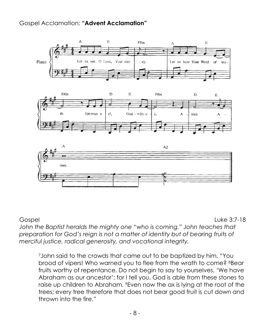#### Gospel Acclamation: **"Advent Acclamation"**







Gospel Luke 3:7-18 John the Baptist heralds the mighty one "who is coming." John teaches that *preparation for God's reign is not a matter of identity but of bearing fruits of merciful justice, radical generosity, and vocational integrity.*

<sup>7</sup>John said to the crowds that came out to be baptized by him, "You brood of vipers! Who warned you to flee from the wrath to come? <sup>8</sup>Bear fruits worthy of repentance. Do not begin to say to yourselves, 'We have Abraham as our ancestor'; for I tell you, God is able from these stones to raise up children to Abraham. <sup>9</sup>Even now the ax is lying at the root of the trees; every tree therefore that does not bear good fruit is cut down and thrown into the fire."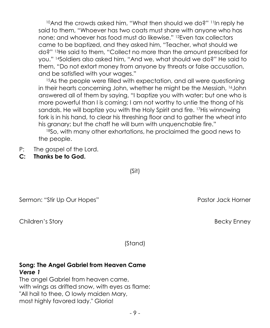<sup>10</sup>And the crowds asked him, "What then should we do?" <sup>11</sup>In reply he said to them, "Whoever has two coats must share with anyone who has none; and whoever has food must do likewise." <sup>12</sup>Even tax collectors came to be baptized, and they asked him, "Teacher, what should we do?" <sup>13</sup>He said to them, "Collect no more than the amount prescribed for you." <sup>14</sup>Soldiers also asked him, "And we, what should we do?" He said to them, "Do not extort money from anyone by threats or false accusation, and be satisfied with your wages."

<sup>15</sup>As the people were filled with expectation, and all were questioning in their hearts concerning John, whether he might be the Messiah, <sup>16</sup>John answered all of them by saying, "I baptize you with water; but one who is more powerful than I is coming; I am not worthy to untie the thong of his sandals. He will baptize you with the Holy Spirit and fire. <sup>17</sup>His winnowing fork is in his hand, to clear his threshing floor and to gather the wheat into his granary; but the chaff he will burn with unquenchable fire."

18So, with many other exhortations, he proclaimed the good news to the people.

(Sit)

- P: The gospel of the Lord.
- **C: Thanks be to God.**

Sermon: "Stir Up Our Hopes" entitled and the Sermon: "Stir Up Our Hopes" and the Pastor Jack Horner

Children's Story Becky Enney

(Stand)

#### **Song: The Angel Gabriel from Heaven Came** *Verse 1*

The angel Gabriel from heaven came, with wings as drifted snow, with eyes as flame: "All hail to thee, O lowly maiden Mary, most highly favored lady." Gloria!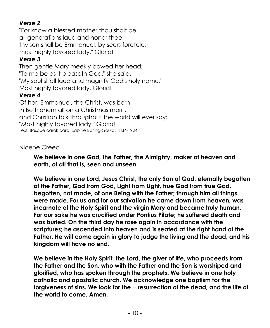#### *Verse 2*

"For know a blessed mother thou shalt be, all generations laud and honor thee; thy son shall be Emmanuel, by seers foretold, most highly favored lady." Gloria!

#### *Verse 3*

Then gentle Mary meekly bowed her head; "To me be as it pleaseth God," she said. "My soul shall laud and magnify God's holy name." Most highly favored lady, Gloria!

#### *Verse 4*

Of her, Emmanuel, the Christ, was born in Bethlehem all on a Christmas morn, and Christian folk throughout the world will ever say: "Most highly favored lady." Gloria! Text: Basque carol; para. Sabine Baring-Gould, 1834-1924

#### Nicene Creed

**We believe in one God, the Father, the Almighty, maker of heaven and earth, of all that is, seen and unseen.** 

**We believe in one Lord, Jesus Christ, the only Son of God, eternally begotten of the Father, God from God, Light from Light, true God from true God, begotten, not made, of one Being with the Father; through him all things were made. For us and for our salvation he came down from heaven, was incarnate of the Holy Spirit and the virgin Mary and became truly human. For our sake he was crucified under Pontius Pilate; he suffered death and was buried. On the third day he rose again in accordance with the scriptures; he ascended into heaven and is seated at the right hand of the Father. He will come again in glory to judge the living and the dead, and his kingdom will have no end.**

**We believe in the Holy Spirit, the Lord, the giver of life, who proceeds from the Father and the Son, who with the Father and the Son is worshiped and glorified, who has spoken through the prophets. We believe in one holy catholic and apostolic church. We acknowledge one baptism for the forgiveness of sins. We look for the** + **resurrection of the dead, and the life of the world to come. Amen.**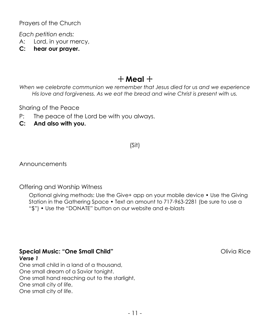Prayers of the Church

*Each petition ends:*

- A: Lord, in your mercy,
- **C: hear our prayer.**

# $+$  Meal  $+$

*When we celebrate communion we remember that Jesus died for us and we experience His love and forgiveness. As we eat the bread and wine Christ is present with us.*

Sharing of the Peace

- P: The peace of the Lord be with you always.
- **C: And also with you.**

(Sit)

Announcements

Offering and Worship Witness

Optional giving methods: Use the Give+ app on your mobile device • Use the Giving Station in the Gathering Space • Text an amount to 717-963-2281 (be sure to use a "\$") • Use the "DONATE" button on our website and e-blasts

#### **Special Music: "One Small Child"** Olivia Rice *Verse 1*

One small child in a land of a thousand, One small dream of a Savior tonight. One small hand reaching out to the starlight, One small city of life, One small city of life.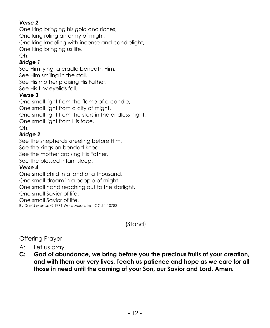#### *Verse 2*

One king bringing his gold and riches, One king ruling an army of might, One king kneeling with incense and candlelight, One king bringing us life. Oh.

#### *Bridge 1*

See Him lying, a cradle beneath Him, See Him smiling in the stall. See His mother praising His Father, See His tiny eyelids fall.

#### *Verse 3*

One small light from the flame of a candle, One small light from a city of might, One small light from the stars in the endless night, One small light from His face. Oh.

#### *Bridge 2*

See the shepherds kneeling before Him, See the kings on bended knee. See the mother praising His Father, See the blessed infant sleep.

#### *Verse 4*

One small child in a land of a thousand, One small dream in a people of might. One small hand reaching out to the starlight, One small Savior of life. One small Savior of life. By David Meece © 1971 Word Music, Inc. CCLI# 10783

(Stand)

Offering Prayer

- A: Let us pray.
- **C: God of abundance, we bring before you the precious fruits of your creation, and with them our very lives. Teach us patience and hope as we care for all those in need until the coming of your Son, our Savior and Lord. Amen.**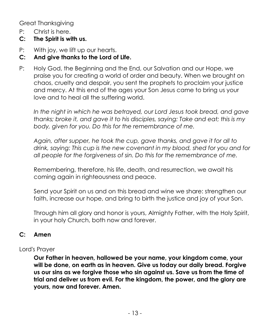Great Thanksgiving

- P: Christ is here.
- **C: The Spirit is with us.**
- P: With joy, we lift up our hearts.
- **C: And give thanks to the Lord of Life.**
- P: Holy God, the Beginning and the End, our Salvation and our Hope, we praise you for creating a world of order and beauty. When we brought on chaos, cruelty and despair, you sent the prophets to proclaim your justice and mercy. At this end of the ages your Son Jesus came to bring us your love and to heal all the suffering world.

*In the night in which he was betrayed, our Lord Jesus took bread, and gave thanks; broke it, and gave it to his disciples, saying: Take and eat; this is my body, given for you. Do this for the remembrance of me.*

*Again, after supper, he took the cup, gave thanks, and gave it for all to drink, saying: This cup is the new covenant in my blood, shed for you and for all people for the forgiveness of sin. Do this for the remembrance of me.*

Remembering, therefore, his life, death, and resurrection, we await his coming again in righteousness and peace.

Send your Spirit on us and on this bread and wine we share: strengthen our faith, increase our hope, and bring to birth the justice and joy of your Son.

Through him all glory and honor is yours, Almighty Father, with the Holy Spirit, in your holy Church, both now and forever.

#### **C: Amen**

#### Lord's Prayer

**Our Father in heaven, hallowed be your name, your kingdom come, your will be done, on earth as in heaven. Give us today our daily bread. Forgive us our sins as we forgive those who sin against us. Save us from the time of trial and deliver us from evil. For the kingdom, the power, and the glory are yours, now and forever. Amen.**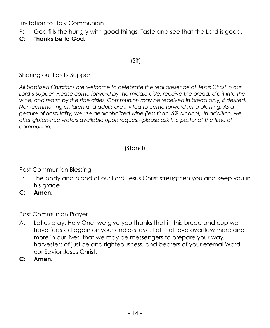Invitation to Holy Communion

- P: God fills the hungry with good things. Taste and see that the Lord is good.
- **C: Thanks be to God.**

(Sit)

Sharing our Lord's Supper

*All baptized Christians are welcome to celebrate the real presence of Jesus Christ in our*  Lord's Supper. Please come forward by the middle aisle, receive the bread, dip it into the *wine, and return by the side aisles. Communion may be received in bread only, if desired. Non-communing children and adults are invited to come forward for a blessing. As a gesture of hospitality, we use dealcoholized wine (less than .5% alcohol). In addition, we offer gluten-free wafers available upon request--please ask the pastor at the time of communion.*

(Stand)

Post Communion Blessing

- P: The body and blood of our Lord Jesus Christ strengthen you and keep you in his grace.
- **C: Amen.**

Post Communion Prayer

- A: Let us pray. Holy One, we give you thanks that in this bread and cup we have feasted again on your endless love. Let that love overflow more and more in our lives, that we may be messengers to prepare your way, harvesters of justice and righteousness, and bearers of your eternal Word, our Savior Jesus Christ.
- **C: Amen.**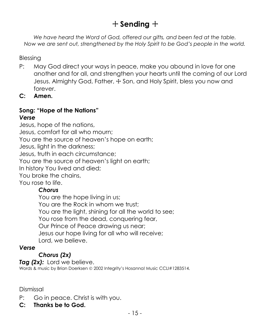# + **Sending** +

*We have heard the Word of God, offered our gifts, and been fed at the table. Now we are sent out, strengthened by the Holy Spirit to be God's people in the world.*

Blessing

P: May God direct your ways in peace, make you abound in love for one another and for all, and strengthen your hearts until the coming of our Lord Jesus. Almighty God, Father, + Son, and Holy Spirit, bless you now and forever.

**C: Amen.**

# **Song: "Hope of the Nations"**

#### *Verse*

Jesus, hope of the nations, Jesus, comfort for all who mourn; You are the source of heaven's hope on earth; Jesus, light in the darkness; Jesus, truth in each circumstance; You are the source of heaven's light on earth; In history You lived and died; You broke the chains, You rose to life.

# *Chorus*

You are the hope living in us; You are the Rock in whom we trust; You are the light, shining for all the world to see; You rose from the dead, conquering fear, Our Prince of Peace drawing us near; Jesus our hope living for all who will receive; Lord, we believe.

# *Verse*

# *Chorus (2x)*

#### *Tag (2x):* Lord we believe.

Words & music by Brian Doerksen © 2002 Integrity's Hosanna! Music CCLI#1283514.

Dismissal

- P: Go in peace. Christ is with you.
- **C: Thanks be to God.**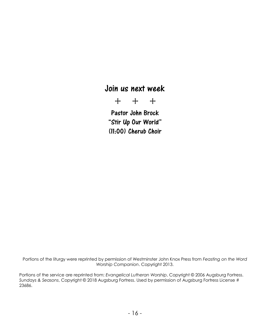# Join us next week

+ + +

Pastor John Brock "Stir Up Our World" (11:00) Cherub Choir

Portions of the liturgy were reprinted by permission of Westminster John Knox Press from *Feasting on the Word Worship Companion*. Copyright 2013.

Portions of the service are reprinted from: *Evangelical Lutheran Worship*, Copyright © 2006 Augsburg Fortress. *Sundays & Seasons*, Copyright © 2018 Augsburg Fortress. Used by permission of Augsburg Fortress License # 23686.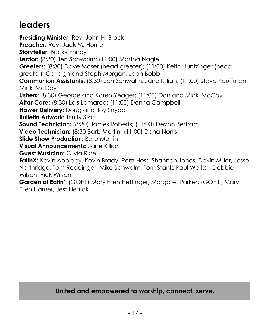# **leaders**

**Presiding Minister:** Rev. John H. Brock **Preacher:** Rev. Jack M. Horner **Storyteller:** Becky Enney **Lector:** (8:30) Jen Schwalm; (11:00) Martha Nagle **Greeters:** (8:30) Dave Maser (head greeter); (11:00) Keith Huntzinger (head greeter), Carleigh and Steph Morgan, Joan Bobb **Communion Assistants:** (8:30) Jen Schwalm, Jane Killian; (11:00) Steve Kauffman, Micki McCoy **Ushers:** (8:30) George and Karen Yeager; (11:00) Don and Micki McCoy **Altar Care:** (8:30) Lois Lamarca; (11:00) Donna Campbell **Flower Delivery:** Doug and Joy Snyder **Bulletin Artwork:** Trinity Staff **Sound Technician:** (8:30) James Roberts; (11:00) Devon Bertram **Video Technician:** (8:30 Barb Martin; (11:00) Dona Norris **Slide Show Production: Barb Martin Visual Announcements:** Jane Killian **Guest Musician:** Olivia Rice **FaithX:** Kevin Appleby, Kevin Brady, Pam Hess, Shannon Jones, Devin Miller, Jesse Northridge, Tom Reddinger, Mike Schwalm, Tom Stank, Paul Walker, Debbie Wilson, Rick Wilson **Garden of Eatin':** (GOE1) Mary Ellen Hettinger, Margaret Parker; (GOE II) Mary Ellen Harner, Jess Hetrick

#### **United and empowered to worship, connect, serve.**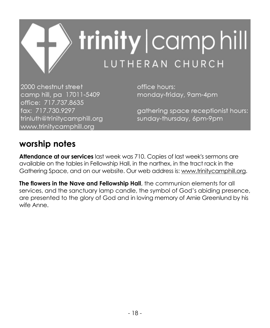

2000 chestnut street camp hill, pa 17011-5409 office: 717.737.8635 fax: 717.730.9297 trinluth@trinitycamphill.org www.trinitycamphill.org

office hours: monday-friday, 9am-4pm

gathering space receptionist hours: sunday-thursday, 6pm-9pm

# **worship notes**

**Attendance at our services** last week was 710. Copies of last week's sermons are available on the tables in Fellowship Hall, in the narthex, in the tract rack in the Gathering Space, and on our website. Our web address is[: www.trinitycamphill.org.](http://www.trinitycamphill.org/)

**The flowers in the Nave and Fellowship Hall**, the communion elements for all services, and the sanctuary lamp candle, the symbol of God's abiding presence, are presented to the glory of God and in loving memory of Arnie Greenlund by his wife Anne.